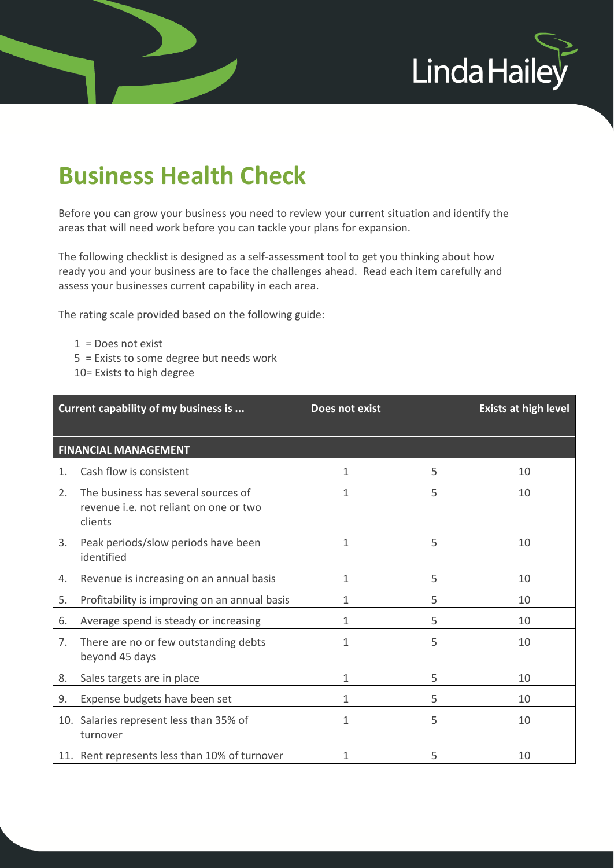

## **Business Health Check**

Before you can grow your business you need to review your current situation and identify the areas that will need work before you can tackle your plans for expansion.

The following checklist is designed as a self-assessment tool to get you thinking about how ready you and your business are to face the challenges ahead. Read each item carefully and assess your businesses current capability in each area.

The rating scale provided based on the following guide:

- 1 = Does not exist
- 5 = Exists to some degree but needs work
- 10= Exists to high degree

|    | Current capability of my business is                                                     | Does not exist |   | <b>Exists at high level</b> |
|----|------------------------------------------------------------------------------------------|----------------|---|-----------------------------|
|    | <b>FINANCIAL MANAGEMENT</b>                                                              |                |   |                             |
| 1. | Cash flow is consistent                                                                  | 1              | 5 | 10                          |
| 2. | The business has several sources of<br>revenue i.e. not reliant on one or two<br>clients | 1              | 5 | 10                          |
| 3. | Peak periods/slow periods have been<br>identified                                        | 1              | 5 | 10                          |
| 4. | Revenue is increasing on an annual basis                                                 | 1              | 5 | 10                          |
| 5. | Profitability is improving on an annual basis                                            | 1              | 5 | 10                          |
| 6. | Average spend is steady or increasing                                                    | 1              | 5 | 10                          |
| 7. | There are no or few outstanding debts<br>beyond 45 days                                  | 1              | 5 | 10                          |
| 8. | Sales targets are in place                                                               | 1              | 5 | 10                          |
| 9. | Expense budgets have been set                                                            | 1              | 5 | 10                          |
|    | 10. Salaries represent less than 35% of<br>turnover                                      | 1              | 5 | 10                          |
|    | 11. Rent represents less than 10% of turnover                                            | 1              | 5 | 10                          |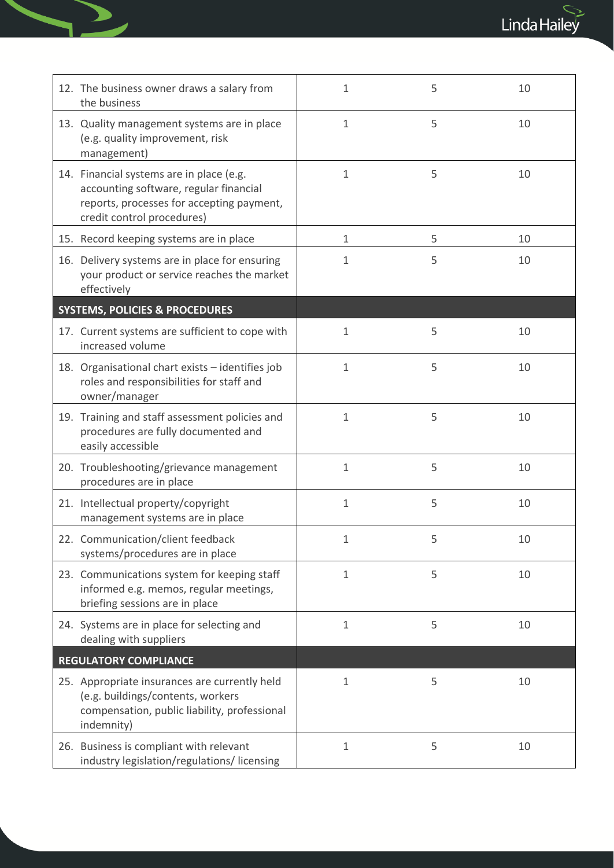$\begin{picture}(120,115) \put(0,0){\line(1,0){15}} \put(15,0){\line(1,0){15}} \put(15,0){\line(1,0){15}} \put(15,0){\line(1,0){15}} \put(15,0){\line(1,0){15}} \put(15,0){\line(1,0){15}} \put(15,0){\line(1,0){15}} \put(15,0){\line(1,0){15}} \put(15,0){\line(1,0){15}} \put(15,0){\line(1,0){15}} \put(15,0){\line(1,0){15}} \put(15,0){\line$ 

| 12. The business owner draws a salary from<br>the business                                                                                                    | $\mathbf{1}$ | 5 | 10 |
|---------------------------------------------------------------------------------------------------------------------------------------------------------------|--------------|---|----|
| 13. Quality management systems are in place<br>(e.g. quality improvement, risk<br>management)                                                                 | 1            | 5 | 10 |
| 14. Financial systems are in place (e.g.<br>accounting software, regular financial<br>reports, processes for accepting payment,<br>credit control procedures) | $\mathbf{1}$ | 5 | 10 |
| 15. Record keeping systems are in place                                                                                                                       | $\mathbf{1}$ | 5 | 10 |
| 16. Delivery systems are in place for ensuring<br>your product or service reaches the market<br>effectively                                                   | 1            | 5 | 10 |
| <b>SYSTEMS, POLICIES &amp; PROCEDURES</b>                                                                                                                     |              |   |    |
| 17. Current systems are sufficient to cope with<br>increased volume                                                                                           | $\mathbf{1}$ | 5 | 10 |
| 18. Organisational chart exists - identifies job<br>roles and responsibilities for staff and<br>owner/manager                                                 | $\mathbf{1}$ | 5 | 10 |
| 19. Training and staff assessment policies and<br>procedures are fully documented and<br>easily accessible                                                    | $\mathbf{1}$ | 5 | 10 |
| 20. Troubleshooting/grievance management<br>procedures are in place                                                                                           | $\mathbf{1}$ | 5 | 10 |
| 21. Intellectual property/copyright<br>management systems are in place                                                                                        | 1            | 5 | 10 |
| 22. Communication/client feedback<br>systems/procedures are in place                                                                                          | 1            | 5 | 10 |
| 23. Communications system for keeping staff<br>informed e.g. memos, regular meetings,<br>briefing sessions are in place                                       | 1            | 5 | 10 |
| 24. Systems are in place for selecting and<br>dealing with suppliers                                                                                          | $\mathbf{1}$ | 5 | 10 |
| <b>REGULATORY COMPLIANCE</b>                                                                                                                                  |              |   |    |
| 25. Appropriate insurances are currently held<br>(e.g. buildings/contents, workers<br>compensation, public liability, professional<br>indemnity)              | $\mathbf{1}$ | 5 | 10 |
| 26. Business is compliant with relevant<br>industry legislation/regulations/licensing                                                                         | $\mathbf{1}$ | 5 | 10 |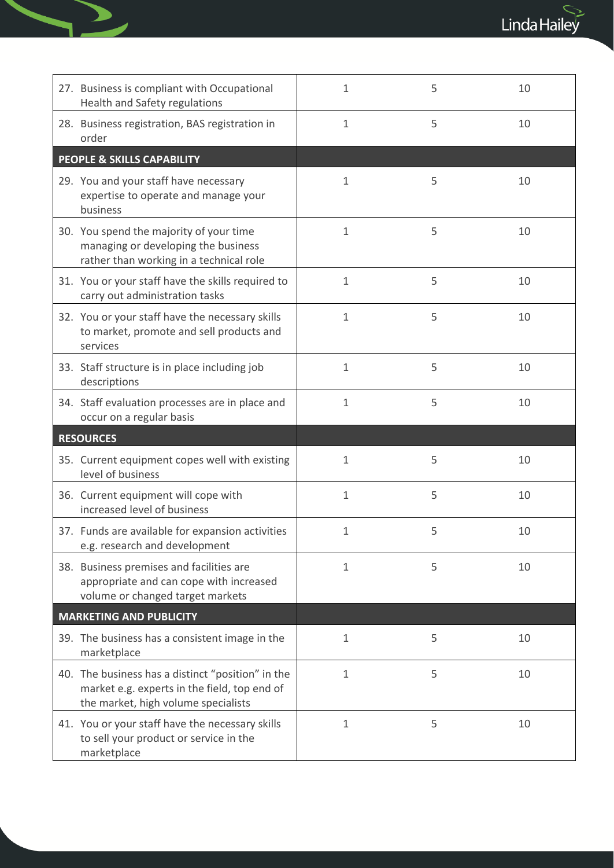$\begin{picture}(120,115) \put(0,0){\line(1,0){15}} \put(15,0){\line(1,0){15}} \put(15,0){\line(1,0){15}} \put(15,0){\line(1,0){15}} \put(15,0){\line(1,0){15}} \put(15,0){\line(1,0){15}} \put(15,0){\line(1,0){15}} \put(15,0){\line(1,0){15}} \put(15,0){\line(1,0){15}} \put(15,0){\line(1,0){15}} \put(15,0){\line(1,0){15}} \put(15,0){\line$ 

| 27. Business is compliant with Occupational<br>Health and Safety regulations                                                             | $\mathbf{1}$ | 5 | 10 |
|------------------------------------------------------------------------------------------------------------------------------------------|--------------|---|----|
| 28. Business registration, BAS registration in<br>order                                                                                  | $\mathbf{1}$ | 5 | 10 |
| <b>PEOPLE &amp; SKILLS CAPABILITY</b>                                                                                                    |              |   |    |
| 29. You and your staff have necessary<br>expertise to operate and manage your<br>business                                                | 1            | 5 | 10 |
| 30. You spend the majority of your time<br>managing or developing the business<br>rather than working in a technical role                | $\mathbf{1}$ | 5 | 10 |
| 31. You or your staff have the skills required to<br>carry out administration tasks                                                      | $\mathbf{1}$ | 5 | 10 |
| 32. You or your staff have the necessary skills<br>to market, promote and sell products and<br>services                                  | $\mathbf{1}$ | 5 | 10 |
| 33. Staff structure is in place including job<br>descriptions                                                                            | $\mathbf{1}$ | 5 | 10 |
| 34. Staff evaluation processes are in place and                                                                                          | $\mathbf{1}$ | 5 | 10 |
| occur on a regular basis                                                                                                                 |              |   |    |
| <b>RESOURCES</b>                                                                                                                         |              |   |    |
| 35. Current equipment copes well with existing<br>level of business                                                                      | 1            | 5 | 10 |
| 36. Current equipment will cope with<br>increased level of business                                                                      | $\mathbf{1}$ | 5 | 10 |
| 37. Funds are available for expansion activities<br>e.g. research and development                                                        | 1            | 5 | 10 |
| 38. Business premises and facilities are<br>appropriate and can cope with increased<br>volume or changed target markets                  | $\mathbf{1}$ | 5 | 10 |
| <b>MARKETING AND PUBLICITY</b>                                                                                                           |              |   |    |
| 39. The business has a consistent image in the<br>marketplace                                                                            | $\mathbf{1}$ | 5 | 10 |
| 40. The business has a distinct "position" in the<br>market e.g. experts in the field, top end of<br>the market, high volume specialists | $\mathbf{1}$ | 5 | 10 |